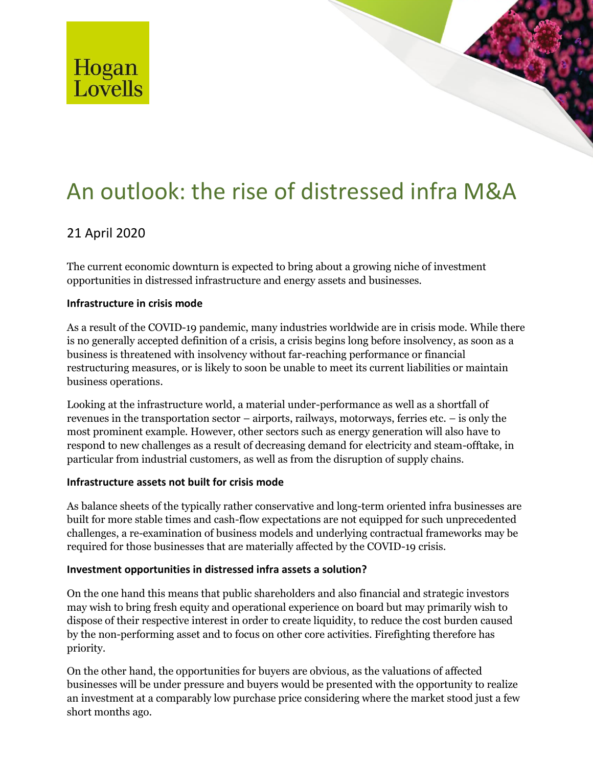

# An outlook: the rise of distressed infra M&A

# 21 April 2020

The current economic downturn is expected to bring about a growing niche of investment opportunities in distressed infrastructure and energy assets and businesses.

# **Infrastructure in crisis mode**

As a result of the COVID-19 pandemic, many industries worldwide are in crisis mode. While there is no generally accepted definition of a crisis, a crisis begins long before insolvency, as soon as a business is threatened with insolvency without far-reaching performance or financial restructuring measures, or is likely to soon be unable to meet its current liabilities or maintain business operations.

Looking at the infrastructure world, a material under-performance as well as a shortfall of revenues in the transportation sector – airports, railways, motorways, ferries etc. – is only the most prominent example. However, other sectors such as energy generation will also have to respond to new challenges as a result of decreasing demand for electricity and steam-offtake, in particular from industrial customers, as well as from the disruption of supply chains.

## **Infrastructure assets not built for crisis mode**

As balance sheets of the typically rather conservative and long-term oriented infra businesses are built for more stable times and cash-flow expectations are not equipped for such unprecedented challenges, a re-examination of business models and underlying contractual frameworks may be required for those businesses that are materially affected by the COVID-19 crisis.

## **Investment opportunities in distressed infra assets a solution?**

On the one hand this means that public shareholders and also financial and strategic investors may wish to bring fresh equity and operational experience on board but may primarily wish to dispose of their respective interest in order to create liquidity, to reduce the cost burden caused by the non-performing asset and to focus on other core activities. Firefighting therefore has priority.

On the other hand, the opportunities for buyers are obvious, as the valuations of affected businesses will be under pressure and buyers would be presented with the opportunity to realize an investment at a comparably low purchase price considering where the market stood just a few short months ago.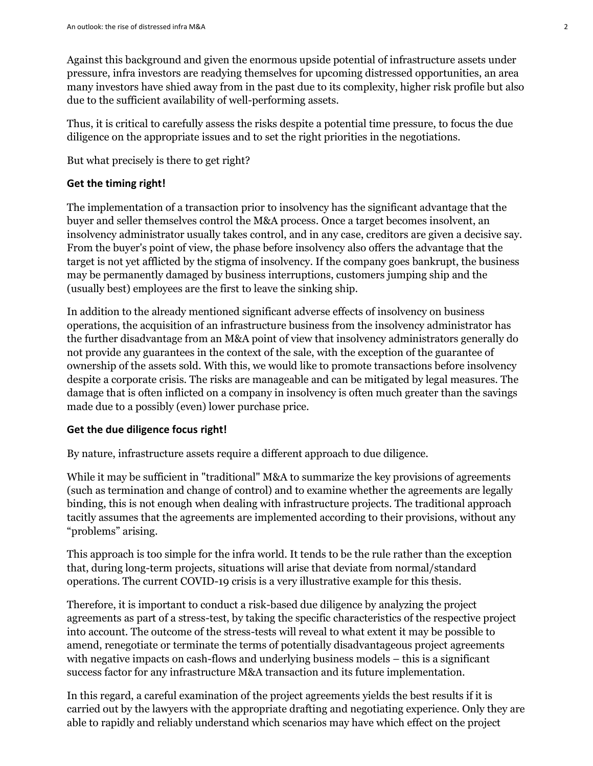Against this background and given the enormous upside potential of infrastructure assets under pressure, infra investors are readying themselves for upcoming distressed opportunities, an area many investors have shied away from in the past due to its complexity, higher risk profile but also due to the sufficient availability of well-performing assets.

Thus, it is critical to carefully assess the risks despite a potential time pressure, to focus the due diligence on the appropriate issues and to set the right priorities in the negotiations.

But what precisely is there to get right?

#### **Get the timing right!**

The implementation of a transaction prior to insolvency has the significant advantage that the buyer and seller themselves control the M&A process. Once a target becomes insolvent, an insolvency administrator usually takes control, and in any case, creditors are given a decisive say. From the buyer's point of view, the phase before insolvency also offers the advantage that the target is not yet afflicted by the stigma of insolvency. If the company goes bankrupt, the business may be permanently damaged by business interruptions, customers jumping ship and the (usually best) employees are the first to leave the sinking ship.

In addition to the already mentioned significant adverse effects of insolvency on business operations, the acquisition of an infrastructure business from the insolvency administrator has the further disadvantage from an M&A point of view that insolvency administrators generally do not provide any guarantees in the context of the sale, with the exception of the guarantee of ownership of the assets sold. With this, we would like to promote transactions before insolvency despite a corporate crisis. The risks are manageable and can be mitigated by legal measures. The damage that is often inflicted on a company in insolvency is often much greater than the savings made due to a possibly (even) lower purchase price.

#### **Get the due diligence focus right!**

By nature, infrastructure assets require a different approach to due diligence.

While it may be sufficient in "traditional" M&A to summarize the key provisions of agreements (such as termination and change of control) and to examine whether the agreements are legally binding, this is not enough when dealing with infrastructure projects. The traditional approach tacitly assumes that the agreements are implemented according to their provisions, without any "problems" arising.

This approach is too simple for the infra world. It tends to be the rule rather than the exception that, during long-term projects, situations will arise that deviate from normal/standard operations. The current COVID-19 crisis is a very illustrative example for this thesis.

Therefore, it is important to conduct a risk-based due diligence by analyzing the project agreements as part of a stress-test, by taking the specific characteristics of the respective project into account. The outcome of the stress-tests will reveal to what extent it may be possible to amend, renegotiate or terminate the terms of potentially disadvantageous project agreements with negative impacts on cash-flows and underlying business models – this is a significant success factor for any infrastructure M&A transaction and its future implementation.

In this regard, a careful examination of the project agreements yields the best results if it is carried out by the lawyers with the appropriate drafting and negotiating experience. Only they are able to rapidly and reliably understand which scenarios may have which effect on the project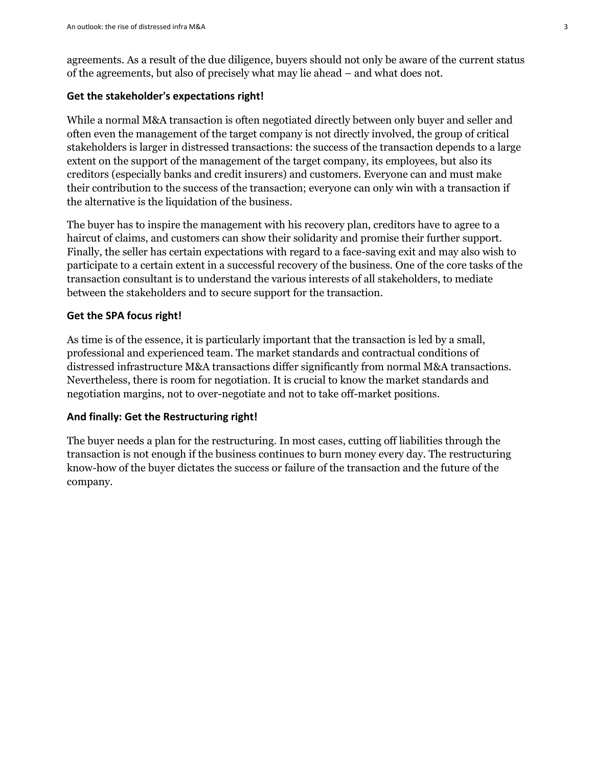agreements. As a result of the due diligence, buyers should not only be aware of the current status of the agreements, but also of precisely what may lie ahead – and what does not.

#### **Get the stakeholder's expectations right!**

While a normal M&A transaction is often negotiated directly between only buyer and seller and often even the management of the target company is not directly involved, the group of critical stakeholders is larger in distressed transactions: the success of the transaction depends to a large extent on the support of the management of the target company, its employees, but also its creditors (especially banks and credit insurers) and customers. Everyone can and must make their contribution to the success of the transaction; everyone can only win with a transaction if the alternative is the liquidation of the business.

The buyer has to inspire the management with his recovery plan, creditors have to agree to a haircut of claims, and customers can show their solidarity and promise their further support. Finally, the seller has certain expectations with regard to a face-saving exit and may also wish to participate to a certain extent in a successful recovery of the business. One of the core tasks of the transaction consultant is to understand the various interests of all stakeholders, to mediate between the stakeholders and to secure support for the transaction.

#### **Get the SPA focus right!**

As time is of the essence, it is particularly important that the transaction is led by a small, professional and experienced team. The market standards and contractual conditions of distressed infrastructure M&A transactions differ significantly from normal M&A transactions. Nevertheless, there is room for negotiation. It is crucial to know the market standards and negotiation margins, not to over-negotiate and not to take off-market positions.

#### **And finally: Get the Restructuring right!**

The buyer needs a plan for the restructuring. In most cases, cutting off liabilities through the transaction is not enough if the business continues to burn money every day. The restructuring know-how of the buyer dictates the success or failure of the transaction and the future of the company.